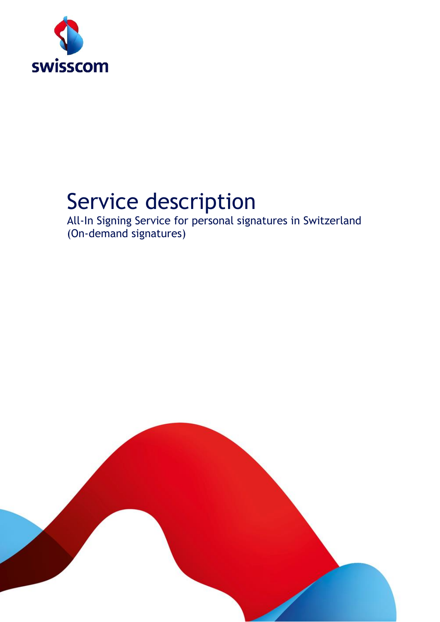

# Service description

All-In Signing Service for personal signatures in Switzerland (On-demand signatures)

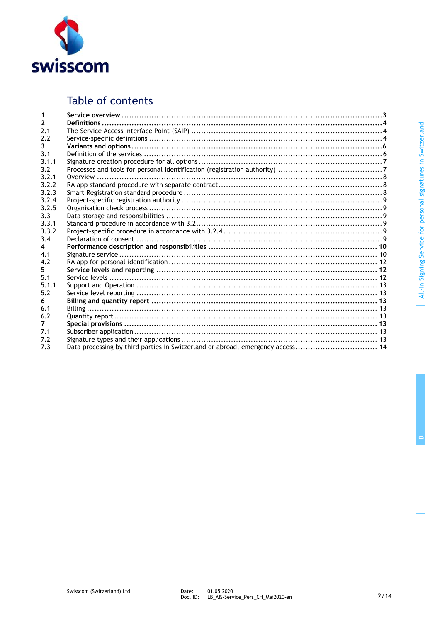

### Table of contents

| $\overline{2}$ |                                                                                |
|----------------|--------------------------------------------------------------------------------|
| 2.1            |                                                                                |
| 2.2            |                                                                                |
| 3.             |                                                                                |
| 3.1            |                                                                                |
| 3.1.1          |                                                                                |
| 3.2            |                                                                                |
| 3.2.1          |                                                                                |
| 3.2.2          |                                                                                |
| 3.2.3          |                                                                                |
| 3.2.4          |                                                                                |
| 3.2.5          |                                                                                |
| 3.3            |                                                                                |
| 3.3.1          |                                                                                |
| 3.3.2          |                                                                                |
| 3.4            |                                                                                |
| 4              |                                                                                |
| 4.1            |                                                                                |
| 4.2            |                                                                                |
| 5.             |                                                                                |
| 5.1            |                                                                                |
| 5.1.1          |                                                                                |
| 5.2            |                                                                                |
| 6.             |                                                                                |
| 6.1            |                                                                                |
| 6.2            |                                                                                |
| $\overline{7}$ |                                                                                |
| 7.1            |                                                                                |
| 7.2            |                                                                                |
| 7.3            | Data processing by third parties in Switzerland or abroad, emergency access 14 |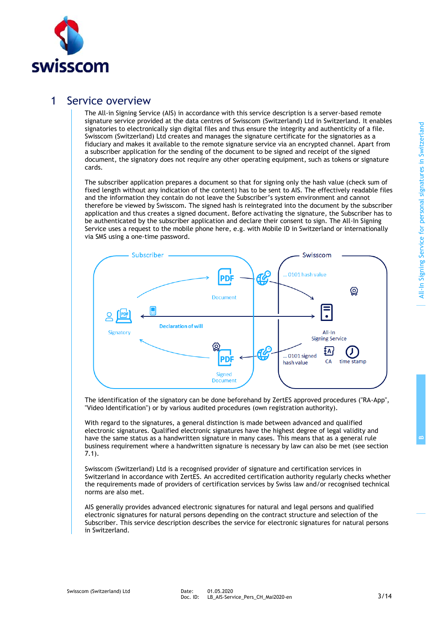

### 1 Service overview

The All-in Signing Service (AIS) in accordance with this service description is a server-based remote signature service provided at the data centres of Swisscom (Switzerland) Ltd in Switzerland. It enables signatories to electronically sign digital files and thus ensure the integrity and authenticity of a file. Swisscom (Switzerland) Ltd creates and manages the signature certificate for the signatories as a fiduciary and makes it available to the remote signature service via an encrypted channel. Apart from a subscriber application for the sending of the document to be signed and receipt of the signed document, the signatory does not require any other operating equipment, such as tokens or signature cards.

The subscriber application prepares a document so that for signing only the hash value (check sum of fixed length without any indication of the content) has to be sent to AIS. The effectively readable files and the information they contain do not leave the Subscriber's system environment and cannot therefore be viewed by Swisscom. The signed hash is reintegrated into the document by the subscriber application and thus creates a signed document. Before activating the signature, the Subscriber has to be authenticated by the subscriber application and declare their consent to sign. The All-In Signing Service uses a request to the mobile phone here, e.g. with Mobile ID in Switzerland or internationally via SMS using a one-time password.



The identification of the signatory can be done beforehand by ZertES approved procedures ("RA-App", "Video Identification") or by various audited procedures (own registration authority).

With regard to the signatures, a general distinction is made between advanced and qualified electronic signatures. Qualified electronic signatures have the highest degree of legal validity and have the same status as a handwritten signature in many cases. This means that as a general rule business requirement where a handwritten signature is necessary by law can also be met (see section 7.1).

Swisscom (Switzerland) Ltd is a recognised provider of signature and certification services in Switzerland in accordance with ZertES. An accredited certification authority regularly checks whether the requirements made of providers of certification services by Swiss law and/or recognised technical norms are also met.

AIS generally provides advanced electronic signatures for natural and legal persons and qualified electronic signatures for natural persons depending on the contract structure and selection of the Subscriber. This service description describes the service for electronic signatures for natural persons in Switzerland.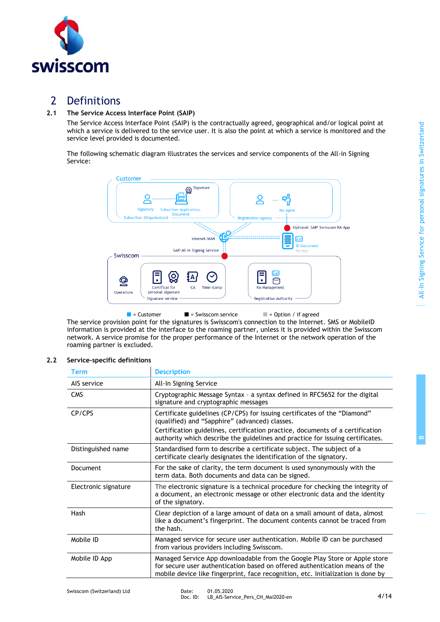

### 2 Definitions

### **2.1 The Service Access Interface Point (SAIP)**

The Service Access Interface Point (SAIP) is the contractually agreed, geographical and/or logical point at which a service is delivered to the service user. It is also the point at which a service is monitored and the service level provided is documented.

The following schematic diagram illustrates the services and service components of the All-in Signing Service:



 $\blacksquare$  = Customer  $\blacksquare$  = Swisscom service  $\blacksquare$  = Option / if agreed

The service provision point for the signatures is Swisscom's connection to the Internet. SMS or MobileID information is provided at the interface to the roaming partner, unless it is provided within the Swisscom network. A service promise for the proper performance of the Internet or the network operation of the roaming partner is excluded.

### **2.2 Service-specific definitions**

| <b>Term</b>          | <b>Description</b>                                                                                                                                                                                                                                                                              |
|----------------------|-------------------------------------------------------------------------------------------------------------------------------------------------------------------------------------------------------------------------------------------------------------------------------------------------|
| AIS service          | All-In Signing Service                                                                                                                                                                                                                                                                          |
| <b>CMS</b>           | Cryptographic Message Syntax - a syntax defined in RFC5652 for the digital<br>signature and cryptographic messages                                                                                                                                                                              |
| CP/CPS               | Certificate guidelines (CP/CPS) for issuing certificates of the "Diamond"<br>(qualified) and "Sapphire" (advanced) classes.<br>Certification guidelines, certification practice, documents of a certification<br>authority which describe the guidelines and practice for issuing certificates. |
|                      |                                                                                                                                                                                                                                                                                                 |
| Distinguished name   | Standardised form to describe a certificate subject. The subject of a<br>certificate clearly designates the identification of the signatory.                                                                                                                                                    |
| Document             | For the sake of clarity, the term document is used synonymously with the<br>term data. Both documents and data can be signed.                                                                                                                                                                   |
| Electronic signature | The electronic signature is a technical procedure for checking the integrity of<br>a document, an electronic message or other electronic data and the identity<br>of the signatory.                                                                                                             |
| Hash                 | Clear depiction of a large amount of data on a small amount of data, almost<br>like a document's fingerprint. The document contents cannot be traced from<br>the hash.                                                                                                                          |
| Mobile ID            | Managed service for secure user authentication. Mobile ID can be purchased<br>from various providers including Swisscom.                                                                                                                                                                        |
| Mobile ID App        | Managed Service App downloadable from the Google Play Store or Apple store<br>for secure user authentication based on offered authentication means of the<br>mobile device like fingerprint, face recognition, etc. Initialization is done by                                                   |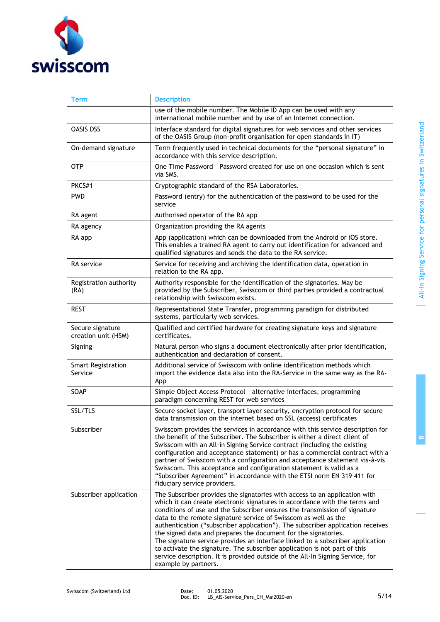

| Term                                    | <b>Description</b>                                                                                                                                                                                                                                                                                                                                                                                                                                                                                                                                                                                                                                                                                                                     |
|-----------------------------------------|----------------------------------------------------------------------------------------------------------------------------------------------------------------------------------------------------------------------------------------------------------------------------------------------------------------------------------------------------------------------------------------------------------------------------------------------------------------------------------------------------------------------------------------------------------------------------------------------------------------------------------------------------------------------------------------------------------------------------------------|
|                                         | use of the mobile number. The Mobile ID App can be used with any<br>international mobile number and by use of an Internet connection.                                                                                                                                                                                                                                                                                                                                                                                                                                                                                                                                                                                                  |
| OASIS DSS                               | Interface standard for digital signatures for web services and other services<br>of the OASIS Group (non-profit organisation for open standards in IT)                                                                                                                                                                                                                                                                                                                                                                                                                                                                                                                                                                                 |
| On-demand signature                     | Term frequently used in technical documents for the "personal signature" in<br>accordance with this service description.                                                                                                                                                                                                                                                                                                                                                                                                                                                                                                                                                                                                               |
| 0TP                                     | One Time Password - Password created for use on one occasion which is sent<br>via SMS.                                                                                                                                                                                                                                                                                                                                                                                                                                                                                                                                                                                                                                                 |
| PKCS#1                                  | Cryptographic standard of the RSA Laboratories.                                                                                                                                                                                                                                                                                                                                                                                                                                                                                                                                                                                                                                                                                        |
| <b>PWD</b>                              | Password (entry) for the authentication of the password to be used for the<br>service                                                                                                                                                                                                                                                                                                                                                                                                                                                                                                                                                                                                                                                  |
| RA agent                                | Authorised operator of the RA app                                                                                                                                                                                                                                                                                                                                                                                                                                                                                                                                                                                                                                                                                                      |
| RA agency                               | Organization providing the RA agents                                                                                                                                                                                                                                                                                                                                                                                                                                                                                                                                                                                                                                                                                                   |
| RA app                                  | App (application) which can be downloaded from the Android or iOS store.<br>This enables a trained RA agent to carry out identification for advanced and<br>qualified signatures and sends the data to the RA service.                                                                                                                                                                                                                                                                                                                                                                                                                                                                                                                 |
| RA service                              | Service for receiving and archiving the identification data, operation in<br>relation to the RA app.                                                                                                                                                                                                                                                                                                                                                                                                                                                                                                                                                                                                                                   |
| Registration authority<br>(RA)          | Authority responsible for the identification of the signatories. May be<br>provided by the Subscriber, Swisscom or third parties provided a contractual<br>relationship with Swisscom exists.                                                                                                                                                                                                                                                                                                                                                                                                                                                                                                                                          |
| <b>REST</b>                             | Representational State Transfer, programming paradigm for distributed<br>systems, particularly web services.                                                                                                                                                                                                                                                                                                                                                                                                                                                                                                                                                                                                                           |
| Secure signature<br>creation unit (HSM) | Qualified and certified hardware for creating signature keys and signature<br>certificates.                                                                                                                                                                                                                                                                                                                                                                                                                                                                                                                                                                                                                                            |
| Signing                                 | Natural person who signs a document electronically after prior identification,<br>authentication and declaration of consent.                                                                                                                                                                                                                                                                                                                                                                                                                                                                                                                                                                                                           |
| <b>Smart Registration</b><br>Service    | Additional service of Swisscom with online identification methods which<br>import the evidence data also into the RA-Service in the same way as the RA-<br>App                                                                                                                                                                                                                                                                                                                                                                                                                                                                                                                                                                         |
| SOAP                                    | Simple Object Access Protocol - alternative interfaces, programming<br>paradigm concerning REST for web services                                                                                                                                                                                                                                                                                                                                                                                                                                                                                                                                                                                                                       |
| SSL/TLS                                 | Secure socket layer, transport layer security, encryption protocol for secure<br>data transmission on the internet based on SSL (access) certificates                                                                                                                                                                                                                                                                                                                                                                                                                                                                                                                                                                                  |
| Subscriber                              | Swisscom provides the services in accordance with this service description for<br>the benefit of the Subscriber. The Subscriber is either a direct client of<br>Swisscom with an All-in Signing Service contract (including the existing<br>configuration and acceptance statement) or has a commercial contract with a<br>partner of Swisscom with a configuration and acceptance statement vis-à-vis<br>Swisscom. This acceptance and configuration statement is valid as a<br>"Subscriber Agreement" in accordance with the ETSI norm EN 319 411 for<br>fiduciary service providers.                                                                                                                                                |
| Subscriber application                  | The Subscriber provides the signatories with access to an application with<br>which it can create electronic signatures in accordance with the terms and<br>conditions of use and the Subscriber ensures the transmission of signature<br>data to the remote signature service of Swisscom as well as the<br>authentication ("subscriber application"). The subscriber application receives<br>the signed data and prepares the document for the signatories.<br>The signature service provides an interface linked to a subscriber application<br>to activate the signature. The subscriber application is not part of this<br>service description. It is provided outside of the All-In Signing Service, for<br>example by partners. |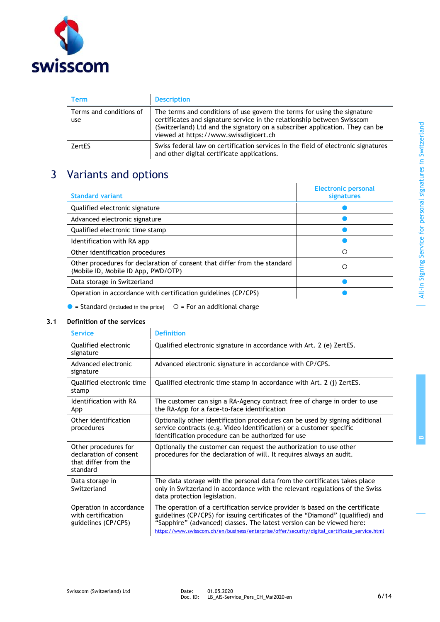

| Term                           | <b>Description</b>                                                                                                                                                                                                                                                            |
|--------------------------------|-------------------------------------------------------------------------------------------------------------------------------------------------------------------------------------------------------------------------------------------------------------------------------|
| Terms and conditions of<br>use | The terms and conditions of use govern the terms for using the signature<br>certificates and signature service in the relationship between Swisscom<br>(Switzerland) Ltd and the signatory on a subscriber application. They can be<br>viewed at https://www.swissdigicert.ch |
| <b>ZertES</b>                  | Swiss federal law on certification services in the field of electronic signatures<br>and other digital certificate applications.                                                                                                                                              |

## 3 Variants and options

| <b>Standard variant</b>                                                                                          | <b>Electronic personal</b><br>signatures |
|------------------------------------------------------------------------------------------------------------------|------------------------------------------|
| Qualified electronic signature                                                                                   |                                          |
| Advanced electronic signature                                                                                    |                                          |
| Qualified electronic time stamp                                                                                  |                                          |
| Identification with RA app                                                                                       |                                          |
| Other identification procedures                                                                                  | ∩                                        |
| Other procedures for declaration of consent that differ from the standard<br>(Mobile ID, Mobile ID App, PWD/OTP) | ∩                                        |
| Data storage in Switzerland                                                                                      |                                          |
| Operation in accordance with certification guidelines (CP/CPS)                                                   |                                          |

 $\bullet$  = Standard (included in the price)  $\circ$  = For an additional charge

### **3.1 Definition of the services**

| <b>Service</b>                                                                     | <b>Definition</b>                                                                                                                                                                                                                                                                                                                         |
|------------------------------------------------------------------------------------|-------------------------------------------------------------------------------------------------------------------------------------------------------------------------------------------------------------------------------------------------------------------------------------------------------------------------------------------|
| Qualified electronic<br>signature                                                  | Qualified electronic signature in accordance with Art. 2 (e) ZertES.                                                                                                                                                                                                                                                                      |
| Advanced electronic<br>signature                                                   | Advanced electronic signature in accordance with CP/CPS.                                                                                                                                                                                                                                                                                  |
| Qualified electronic time<br>stamp                                                 | Qualified electronic time stamp in accordance with Art. 2 (j) ZertES.                                                                                                                                                                                                                                                                     |
| Identification with RA<br>App                                                      | The customer can sign a RA-Agency contract free of charge in order to use<br>the RA-App for a face-to-face identification                                                                                                                                                                                                                 |
| Other identification<br>procedures                                                 | Optionally other identification procedures can be used by signing additional<br>service contracts (e.g. Video Identification) or a customer specific<br>identification procedure can be authorized for use                                                                                                                                |
| Other procedures for<br>declaration of consent<br>that differ from the<br>standard | Optionally the customer can request the authorization to use other<br>procedures for the declaration of will. It requires always an audit.                                                                                                                                                                                                |
| Data storage in<br>Switzerland                                                     | The data storage with the personal data from the certificates takes place<br>only in Switzerland in accordance with the relevant regulations of the Swiss<br>data protection legislation.                                                                                                                                                 |
| Operation in accordance<br>with certification<br>guidelines (CP/CPS)               | The operation of a certification service provider is based on the certificate<br>guidelines (CP/CPS) for issuing certificates of the "Diamond" (qualified) and<br>"Sapphire" (advanced) classes. The latest version can be viewed here:<br>https://www.swisscom.ch/en/business/enterprise/offer/security/digital_certificate_service.html |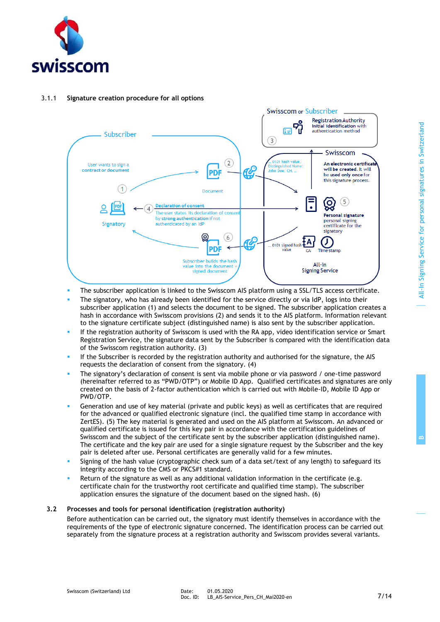

### 3.1.1 **Signature creation procedure for all options**



- The subscriber application is linked to the Swisscom AIS platform using a SSL/TLS access certificate.
- The signatory, who has already been identified for the service directly or via IdP, logs into their subscriber application (1) and selects the document to be signed. The subscriber application creates a hash in accordance with Swisscom provisions (2) and sends it to the AIS platform. Information relevant to the signature certificate subject (distinguished name) is also sent by the subscriber application.
- If the registration authority of Swisscom is used with the RA app, video identification service or Smart Registration Service, the signature data sent by the Subscriber is compared with the identification data of the Swisscom registration authority. (3)
- **.** If the Subscriber is recorded by the registration authority and authorised for the signature, the AIS requests the declaration of consent from the signatory. (4)
- The signatory's declaration of consent is sent via mobile phone or via password / one-time password (hereinafter referred to as "PWD/OTP") or Mobile ID App. Qualified certificates and signatures are only created on the basis of 2-factor authentication which is carried out with Mobile-ID, Mobile ID App or PWD/OTP.
- Generation and use of key material (private and public keys) as well as certificates that are required for the advanced or qualified electronic signature (incl. the qualified time stamp in accordance with ZertES). (5) The key material is generated and used on the AIS platform at Swisscom. An advanced or qualified certificate is issued for this key pair in accordance with the certification guidelines of Swisscom and the subject of the certificate sent by the subscriber application (distinguished name). The certificate and the key pair are used for a single signature request by the Subscriber and the key pair is deleted after use. Personal certificates are generally valid for a few minutes.
- Signing of the hash value (cryptographic check sum of a data set/text of any length) to safeguard its integrity according to the CMS or PKCS#1 standard.
- Return of the signature as well as any additional validation information in the certificate (e.g. certificate chain for the trustworthy root certificate and qualified time stamp). The subscriber application ensures the signature of the document based on the signed hash. (6)

### **3.2 Processes and tools for personal identification (registration authority)**

<span id="page-6-0"></span>Before authentication can be carried out, the signatory must identify themselves in accordance with the requirements of the type of electronic signature concerned. The identification process can be carried out separately from the signature process at a registration authority and Swisscom provides several variants.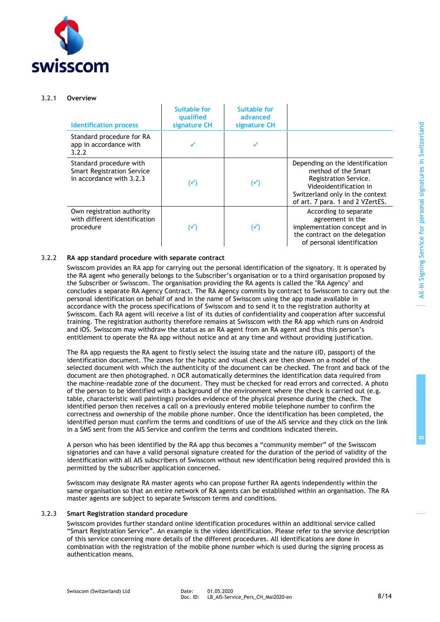

#### 3.2.1 **Overview**

| <b>Identification process</b>                                                            | <b>Suitable for</b><br>qualified<br>signature CH | <b>Suitable for</b><br>advanced<br>signature CH |                                                                                                                                                                                  |
|------------------------------------------------------------------------------------------|--------------------------------------------------|-------------------------------------------------|----------------------------------------------------------------------------------------------------------------------------------------------------------------------------------|
| Standard procedure for RA<br>app in accordance with<br>3.2.2                             |                                                  |                                                 |                                                                                                                                                                                  |
| Standard procedure with<br><b>Smart Registration Service</b><br>in accordance with 3.2.3 | $(\checkmark)$                                   | $(\checkmark)$                                  | Depending on the identification<br>method of the Smart<br>Registration Service.<br>Videoidentification in<br>Switzerland only in the context<br>of art. 7 para. 1 and 2 VZertES. |
| Own registration authority<br>with different identification<br>procedure                 | $(\checkmark)$                                   | $(\checkmark)$                                  | According to separate<br>agreement in the<br>implementation concept and in<br>the contract on the delegation<br>of personal identification                                       |

### 3.2.2 **RA app standard procedure with separate contract**

<span id="page-7-0"></span>Swisscom provides an RA app for carrying out the personal identification of the signatory. It is operated by the RA agent who generally belongs to the Subscriber's organisation or to a third organisation proposed by the Subscriber or Swisscom. The organisation providing the RA agents is called the "RA Agency" and concludes a separate RA Agency Contract. The RA Agency commits by contract to Swisscom to carry out the personal identification on behalf of and in the name of Swisscom using the app made available in accordance with the process specifications of Swisscom and to send it to the registration authority at Swisscom. Each RA agent will receive a list of its duties of confidentiality and cooperation after successful training. The registration authority therefore remains at Swisscom with the RA app which runs on Android and iOS. Swisscom may withdraw the status as an RA agent from an RA agent and thus this person's entitlement to operate the RA app without notice and at any time and without providing justification.

The RA app requests the RA agent to firstly select the issuing state and the nature (ID, passport) of the identification document. The zones for the haptic and visual check are then shown on a model of the selected document with which the authenticity of the document can be checked. The front and back of the document are then photographed. n OCR automatically determines the identification data required from the machine-readable zone of the document. They must be checked for read errors and corrected. A photo of the person to be identified with a background of the environment where the check is carried out (e.g. table, characteristic wall paintings) provides evidence of the physical presence during the check. The identified person then receives a call on a previously entered mobile telephone number to confirm the correctness and ownership of the mobile phone number. Once the identification has been completed, the identified person must confirm the terms and conditions of use of the AIS service and they click on the link in a SMS sent from the AIS Service and confirm the terms and conditions indicated therein.

A person who has been identified by the RA app thus becomes a "community member" of the Swisscom signatories and can have a valid personal signature created for the duration of the period of validity of the identification with all AIS subscribers of Swisscom without new identification being required provided this is permitted by the subscriber application concerned.

Swisscom may designate RA master agents who can propose further RA agents independently within the same organisation so that an entire network of RA agents can be established within an organisation. The RA master agents are subject to separate Swisscom terms and conditions.

#### 3.2.3 **Smart Registration standard procedure**

<span id="page-7-1"></span>Swisscom provides further standard online identification procedures within an additional service called "Smart Registration Service". An example is the video identification. Please refer to the service description of this service concerning more details of the different procedures. All identifications are done in combination with the registration of the mobile phone number which is used during the signing process as authentication means.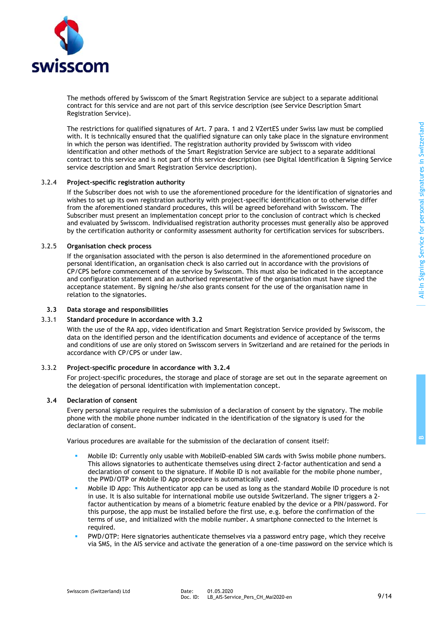**B**



The methods offered by Swisscom of the Smart Registration Service are subject to a separate additional contract for this service and are not part of this service description (see Service Description Smart Registration Service).

The restrictions for qualified signatures of Art. 7 para. 1 and 2 VZertES under Swiss law must be complied with. It is technically ensured that the qualified signature can only take place in the signature environment in which the person was identified. The registration authority provided by Swisscom with video identification and other methods of the Smart Registration Service are subject to a separate additional contract to this service and is not part of this service description (see Digital Identification & Signing Service service description and Smart Registration Service description).

### 3.2.4 **Project-specific registration authority**

<span id="page-8-0"></span>If the Subscriber does not wish to use the aforementioned procedure for the identification of signatories and wishes to set up its own registration authority with project-specific identification or to otherwise differ from the aforementioned standard procedures, this will be agreed beforehand with Swisscom. The Subscriber must present an implementation concept prior to the conclusion of contract which is checked and evaluated by Swisscom. Individualised registration authority processes must generally also be approved by the certification authority or conformity assessment authority for certification services for subscribers.

### 3.2.5 **Organisation check process**

If the organisation associated with the person is also determined in the aforementioned procedure on personal identification, an organisation check is also carried out in accordance with the provisions of CP/CPS before commencement of the service by Swisscom. This must also be indicated in the acceptance and configuration statement and an authorised representative of the organisation must have signed the acceptance statement. By signing he/she also grants consent for the use of the organisation name in relation to the signatories.

#### **3.3 Data storage and responsibilities**

#### 3.3.1 **Standard procedure in accordance with [3.2](#page-6-0)**

With the use of the RA app, video identification and Smart Registration Service provided by Swisscom, the data on the identified person and the identification documents and evidence of acceptance of the terms and conditions of use are only stored on Swisscom servers in Switzerland and are retained for the periods in accordance with CP/CPS or under law.

### 3.3.2 **Project-specific procedure in accordance with [3.2.4](#page-8-0)**

For project-specific procedures, the storage and place of storage are set out in the separate agreement on the delegation of personal identification with implementation concept.

### **3.4 Declaration of consent**

Every personal signature requires the submission of a declaration of consent by the signatory. The mobile phone with the mobile phone number indicated in the identification of the signatory is used for the declaration of consent.

Various procedures are available for the submission of the declaration of consent itself:

- Mobile ID: Currently only usable with MobileID-enabled SIM cards with Swiss mobile phone numbers. This allows signatories to authenticate themselves using direct 2-factor authentication and send a declaration of consent to the signature. If Mobile ID is not available for the mobile phone number, the PWD/OTP or Mobile ID App procedure is automatically used.
- Mobile ID App: This Authenticator app can be used as long as the standard Mobile ID procedure is not in use. It is also suitable for international mobile use outside Switzerland. The signer triggers a 2 factor authentication by means of a biometric feature enabled by the device or a PIN/password. For this purpose, the app must be installed before the first use, e.g. before the confirmation of the terms of use, and initialized with the mobile number. A smartphone connected to the Internet is required.
- PWD/OTP: Here signatories authenticate themselves via a password entry page, which they receive via SMS, in the AIS service and activate the generation of a one-time password on the service which is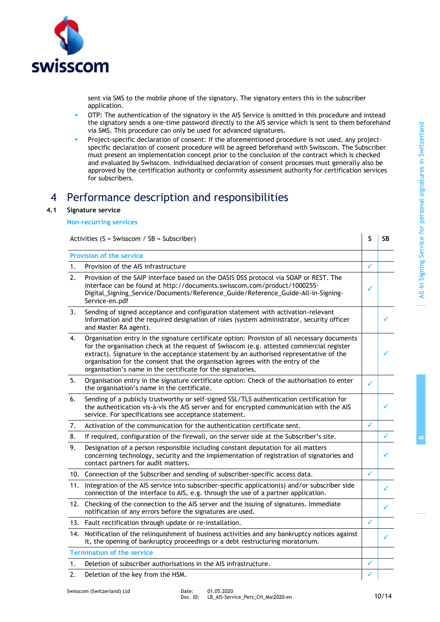**B**



sent via SMS to the mobile phone of the signatory. The signatory enters this in the subscriber application.

- OTP: The authentication of the signatory in the AIS Service is omitted in this procedure and instead the signatory sends a one-time password directly to the AIS service which is sent to them beforehand via SMS. This procedure can only be used for advanced signatures.
- Project-specific declaration of consent: If the aforementioned procedure is not used, any projectspecific declaration of consent procedure will be agreed beforehand with Swisscom. The Subscriber must present an implementation concept prior to the conclusion of the contract which is checked and evaluated by Swisscom. Individualised declaration of consent processes must generally also be approved by the certification authority or conformity assessment authority for certification services for subscribers.

### 4 Performance description and responsibilities

### **4.1 Signature service**

### **Non-recurring services**

|     | Activities (S = Swisscom / SB = Subscriber)                                                                                                                                                                                                                                                                                                                                                                                          | S            | SB |
|-----|--------------------------------------------------------------------------------------------------------------------------------------------------------------------------------------------------------------------------------------------------------------------------------------------------------------------------------------------------------------------------------------------------------------------------------------|--------------|----|
|     | <b>Provision of the service</b>                                                                                                                                                                                                                                                                                                                                                                                                      |              |    |
| 1.  | Provision of the AIS infrastructure                                                                                                                                                                                                                                                                                                                                                                                                  | $\checkmark$ |    |
| 2.  | Provision of the SAIP interface based on the OASIS DSS protocol via SOAP or REST. The<br>interface can be found at http://documents.swisscom.com/product/1000255-<br>Digital_Signing_Service/Documents/Reference_Guide/Reference_Guide-All-in-Signing-<br>Service-en.pdf                                                                                                                                                             |              |    |
| 3.  | Sending of signed acceptance and configuration statement with activation-relevant<br>information and the required designation of roles (system administrator, security officer<br>and Master RA agent).                                                                                                                                                                                                                              |              |    |
| 4.  | Organisation entry in the signature certificate option: Provision of all necessary documents<br>for the organisation check at the request of Swisscom (e.g. attested commercial register<br>extract). Signature in the acceptance statement by an authorised representative of the<br>organisation for the consent that the organisation agrees with the entry of the<br>organisation's name in the certificate for the signatories. |              |    |
| 5.  | Organisation entry in the signature certificate option: Check of the authorisation to enter<br>the organisation's name in the certificate.                                                                                                                                                                                                                                                                                           | ✓            |    |
| 6.  | Sending of a publicly trustworthy or self-signed SSL/TLS authentication certification for<br>the authentication vis-à-vis the AIS server and for encrypted communication with the AIS<br>service. For specifications see acceptance statement.                                                                                                                                                                                       |              |    |
| 7.  | Activation of the communication for the authentication certificate sent.                                                                                                                                                                                                                                                                                                                                                             | ✓            |    |
| 8.  | If required, configuration of the firewall, on the server side at the Subscriber's site.                                                                                                                                                                                                                                                                                                                                             |              |    |
| 9.  | Designation of a person responsible including constant deputation for all matters<br>concerning technology, security and the implementation of registration of signatories and<br>contact partners for audit matters.                                                                                                                                                                                                                |              |    |
|     | 10. Connection of the Subscriber and sending of subscriber-specific access data.                                                                                                                                                                                                                                                                                                                                                     | $\checkmark$ |    |
|     | 11. Integration of the AIS service into subscriber-specific application(s) and/or subscriber side<br>connection of the interface to AIS, e.g. through the use of a partner application.                                                                                                                                                                                                                                              |              |    |
|     | 12. Checking of the connection to the AIS server and the issuing of signatures. Immediate<br>notification of any errors before the signatures are used.                                                                                                                                                                                                                                                                              |              |    |
|     | 13. Fault rectification through update or re-installation.                                                                                                                                                                                                                                                                                                                                                                           | $\checkmark$ |    |
| 14. | Notification of the relinquishment of business activities and any bankruptcy notices against<br>it, the opening of bankruptcy proceedings or a debt restructuring moratorium.                                                                                                                                                                                                                                                        |              | ✓  |
|     | <b>Termination of the service</b>                                                                                                                                                                                                                                                                                                                                                                                                    |              |    |
| 1.  | Deletion of subscriber authorisations in the AIS infrastructure.                                                                                                                                                                                                                                                                                                                                                                     | ✓            |    |
| 2.  | Deletion of the key from the HSM.                                                                                                                                                                                                                                                                                                                                                                                                    |              |    |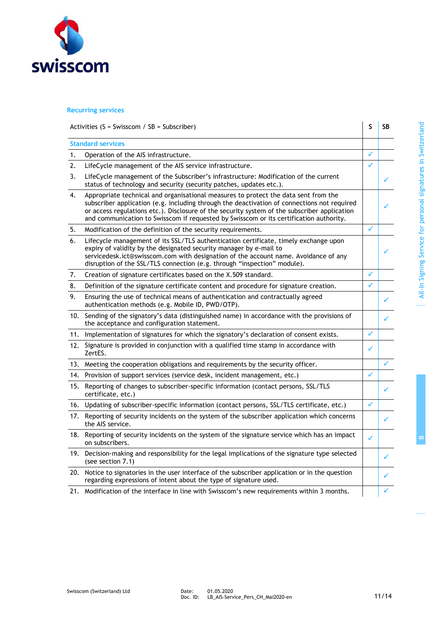

### **Recurring services**

| Activities (S = Swisscom / SB = Subscriber) | S SB |  |
|---------------------------------------------|------|--|
|                                             |      |  |

|     | <b>Standard services</b>                                                                                                                                                                                                                                                                                                                                                     |   |  |
|-----|------------------------------------------------------------------------------------------------------------------------------------------------------------------------------------------------------------------------------------------------------------------------------------------------------------------------------------------------------------------------------|---|--|
| 1.  | Operation of the AIS infrastructure.                                                                                                                                                                                                                                                                                                                                         | ✓ |  |
| 2.  | LifeCycle management of the AIS service infrastructure.                                                                                                                                                                                                                                                                                                                      | ✓ |  |
| 3.  | LifeCycle management of the Subscriber's infrastructure: Modification of the current<br>status of technology and security (security patches, updates etc.).                                                                                                                                                                                                                  |   |  |
| 4.  | Appropriate technical and organisational measures to protect the data sent from the<br>subscriber application (e.g. including through the deactivation of connections not required<br>or access regulations etc.). Disclosure of the security system of the subscriber application<br>and communication to Swisscom if requested by Swisscom or its certification authority. |   |  |
| 5.  | Modification of the definition of the security requirements.                                                                                                                                                                                                                                                                                                                 | ✓ |  |
| 6.  | Lifecycle management of its SSL/TLS authentication certificate, timely exchange upon<br>expiry of validity by the designated security manager by e-mail to<br>servicedesk.ict@swisscom.com with designation of the account name. Avoidance of any<br>disruption of the SSL/TLS connection (e.g. through "inspection" module).                                                |   |  |
| 7.  | Creation of signature certificates based on the X.509 standard.                                                                                                                                                                                                                                                                                                              | ✓ |  |
| 8.  | Definition of the signature certificate content and procedure for signature creation.                                                                                                                                                                                                                                                                                        | ✓ |  |
| 9.  | Ensuring the use of technical means of authentication and contractually agreed<br>authentication methods (e.g. Mobile ID, PWD/OTP).                                                                                                                                                                                                                                          |   |  |
| 10. | Sending of the signatory's data (distinguished name) in accordance with the provisions of<br>the acceptance and configuration statement.                                                                                                                                                                                                                                     |   |  |
| 11. | Implementation of signatures for which the signatory's declaration of consent exists.                                                                                                                                                                                                                                                                                        | ✓ |  |
| 12. | Signature is provided in conjunction with a qualified time stamp in accordance with<br>ZertES.                                                                                                                                                                                                                                                                               | ✓ |  |
|     | 13. Meeting the cooperation obligations and requirements by the security officer.                                                                                                                                                                                                                                                                                            |   |  |
| 14. | Provision of support services (service desk, incident management, etc.)                                                                                                                                                                                                                                                                                                      | ✓ |  |
| 15. | Reporting of changes to subscriber-specific information (contact persons, SSL/TLS<br>certificate, etc.)                                                                                                                                                                                                                                                                      |   |  |
| 16. | Updating of subscriber-specific information (contact persons, SSL/TLS certificate, etc.)                                                                                                                                                                                                                                                                                     |   |  |
| 17. | Reporting of security incidents on the system of the subscriber application which concerns<br>the AIS service.                                                                                                                                                                                                                                                               |   |  |
| 18. | Reporting of security incidents on the system of the signature service which has an impact<br>on subscribers.                                                                                                                                                                                                                                                                | ✓ |  |
| 19. | Decision-making and responsibility for the legal implications of the signature type selected<br>(see section 7.1)                                                                                                                                                                                                                                                            |   |  |
| 20. | Notice to signatories in the user interface of the subscriber application or in the question<br>regarding expressions of intent about the type of signature used.                                                                                                                                                                                                            |   |  |
|     |                                                                                                                                                                                                                                                                                                                                                                              |   |  |

21. Modification of the interface in line with Swisscom's new requirements within 3 months.  $\begin{vmatrix} \cdot & \cdot & \cdot \\ \cdot & \cdot & \cdot \\ \cdot & \cdot & \cdot & \cdot \end{vmatrix}$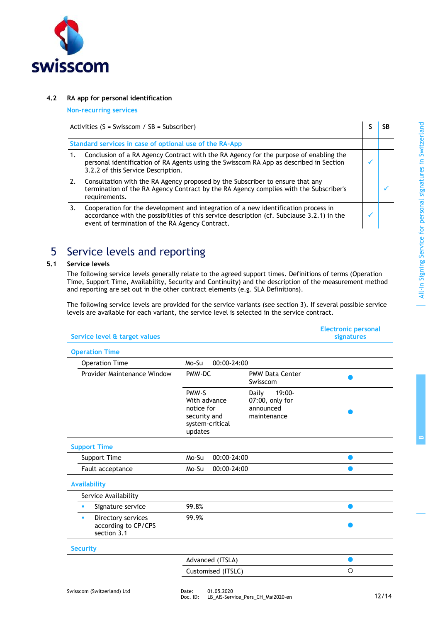

### **4.2 RA app for personal identification**

**Non-recurring services**

Activities (S = Swisscom / SB = Subscriber) **S**  $\begin{bmatrix} S & S \end{bmatrix}$  SB

| Standard services in case of optional use of the RA-App                                                                                                                                                                             |  |
|-------------------------------------------------------------------------------------------------------------------------------------------------------------------------------------------------------------------------------------|--|
| Conclusion of a RA Agency Contract with the RA Agency for the purpose of enabling the<br>personal identification of RA Agents using the Swisscom RA App as described in Section<br>3.2.2 of this Service Description.               |  |
| Consultation with the RA Agency proposed by the Subscriber to ensure that any<br>termination of the RA Agency Contract by the RA Agency complies with the Subscriber's<br>requirements.                                             |  |
| Cooperation for the development and integration of a new identification process in<br>accordance with the possibilities of this service description (cf. Subclause 3.2.1) in the<br>event of termination of the RA Agency Contract. |  |

### 5 Service levels and reporting

### **5.1 Service levels**

The following service levels generally relate to the agreed support times. Definitions of terms (Operation Time, Support Time, Availability, Security and Continuity) and the description of the measurement method and reporting are set out in the other contract elements (e.g. SLA Definitions).

The following service levels are provided for the service variants (see section 3). If several possible service levels are available for each variant, the service level is selected in the service contract.

 $\overline{\phantom{a}}$ 

| Service level & target values                                 |                                                                                   |                                                                   | <b>Electronic personal</b><br>signatures |
|---------------------------------------------------------------|-----------------------------------------------------------------------------------|-------------------------------------------------------------------|------------------------------------------|
| <b>Operation Time</b>                                         |                                                                                   |                                                                   |                                          |
| <b>Operation Time</b>                                         | $00:00 - 24:00$<br>Mo-Su                                                          |                                                                   |                                          |
| Provider Maintenance Window                                   | PMW-DC                                                                            | <b>PMW Data Center</b><br>Swisscom                                |                                          |
|                                                               | PMW-S<br>With advance<br>notice for<br>security and<br>system-critical<br>updates | $19:00 -$<br>Daily<br>07:00, only for<br>announced<br>maintenance |                                          |
| <b>Support Time</b>                                           |                                                                                   |                                                                   |                                          |
| Support Time                                                  | Mo-Su<br>$00:00 - 24:00$                                                          |                                                                   |                                          |
| Fault acceptance                                              | 00:00-24:00<br>Mo-Su                                                              |                                                                   |                                          |
| <b>Availability</b>                                           |                                                                                   |                                                                   |                                          |
| Service Availability                                          |                                                                                   |                                                                   |                                          |
| Signature service<br>٠                                        | 99.8%                                                                             |                                                                   |                                          |
| Directory services<br>٠<br>according to CP/CPS<br>section 3.1 | 99.9%                                                                             |                                                                   |                                          |
| <b>Security</b>                                               |                                                                                   |                                                                   |                                          |
|                                                               | Advanced (ITSLA)                                                                  |                                                                   |                                          |
|                                                               | Customised (ITSLC)                                                                |                                                                   | O                                        |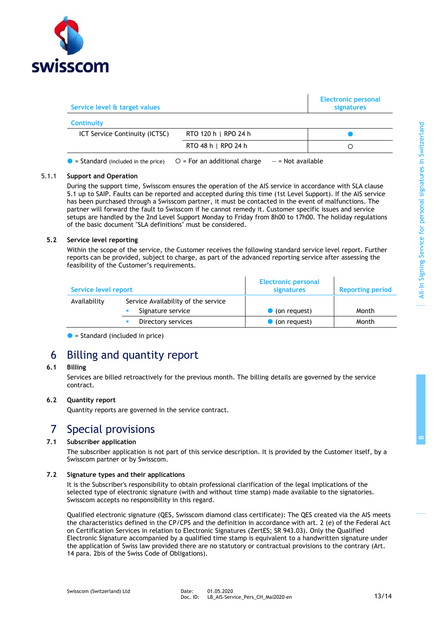

| Service level & target values                |                                                       | <b>Electronic personal</b><br>signatures |
|----------------------------------------------|-------------------------------------------------------|------------------------------------------|
| <b>Continuity</b>                            |                                                       |                                          |
| <b>ICT Service Continuity (ICTSC)</b>        | RTO 120 h   RPO 24 h                                  |                                          |
|                                              | RTO 48 h   RPO 24 h                                   |                                          |
| $\bullet$ = Standard (included in the price) | $O = For$ an additional charge<br>$-$ = Not available |                                          |

#### 5.1.1 **Support and Operation**

During the support time, Swisscom ensures the operation of the AIS service in accordance with SLA clause 5.1 up to SAIP. Faults can be reported and accepted during this time (1st Level Support). If the AIS service has been purchased through a Swisscom partner, it must be contacted in the event of malfunctions. The partner will forward the fault to Swisscom if he cannot remedy it. Customer specific issues and service setups are handled by the 2nd Level Support Monday to Friday from 8h00 to 17h00. The holiday regulations of the basic document "SLA definitions" must be considered.

### **5.2 Service level reporting**

Within the scope of the service, the Customer receives the following standard service level report. Further reports can be provided, subject to charge, as part of the advanced reporting service after assessing the feasibility of the Customer's requirements.

| Service level report |                                                          | <b>Electronic personal</b><br>signatures | <b>Reporting period</b> |
|----------------------|----------------------------------------------------------|------------------------------------------|-------------------------|
| Availability         | Service Availability of the service<br>Signature service | $\bullet$ (on request)                   | Month                   |
|                      | Directory services                                       | $\bullet$ (on request)                   | Month                   |

 $\bullet$  = Standard (included in price)

### 6 Billing and quantity report

### **6.1 Billing**

Services are billed retroactively for the previous month. The billing details are governed by the service contract.

### **6.2 Quantity report**

Quantity reports are governed in the service contract.

### 7 Special provisions

### **7.1 Subscriber application**

<span id="page-12-0"></span>The subscriber application is not part of this service description. It is provided by the Customer itself, by a Swisscom partner or by Swisscom.

#### **7.2 Signature types and their applications**

It is the Subscriber's responsibility to obtain professional clarification of the legal implications of the selected type of electronic signature (with and without time stamp) made available to the signatories. Swisscom accepts no responsibility in this regard.

Qualified electronic signature (QES, Swisscom diamond class certificate): The QES created via the AIS meets the characteristics defined in the CP/CPS and the definition in accordance with art. 2 (e) of the Federal Act on Certification Services in relation to Electronic Signatures (ZertES; SR 943.03). Only the Qualified Electronic Signature accompanied by a qualified time stamp is equivalent to a handwritten signature under the application of Swiss law provided there are no statutory or contractual provisions to the contrary (Art. 14 para. 2bis of the Swiss Code of Obligations).